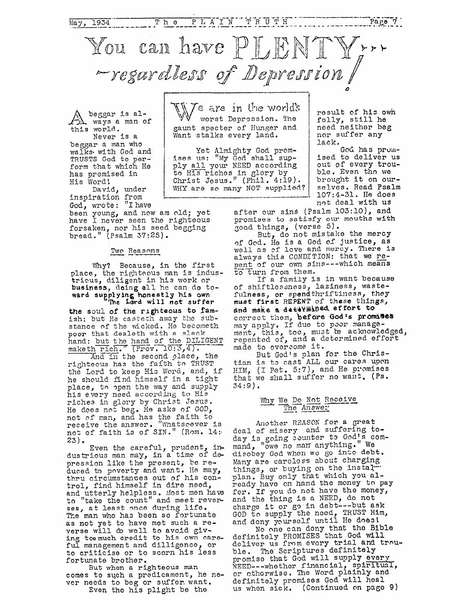

gaunt specter of IIunger and Want stalks every land.

Yet Almighty God prom**ises** us: My God shall supply all your NEED according to His riches in glory by Christ Jesus." (Phil. **4:19).**  WHY **aro so** many NOT supplied?

beggar is always e, man of **this** world.

Never is a beggar a man who **walks.** with God and TRUSTS God to **perform** that which He has promised in His Word!

inspiration from David, under

God, wrote: "I have<br>been young, and now am old; yet have I never seen the righteous forsaken, nor his seed begging bread. (Psalm *37:25).*  by the net here the<br>nor his see<br>Psalm 37:25<br>Two Reasons

### Two Reasons

**Why?** Because, in the first place, the righteous **mah** is industrious, **diligent** in hi3 work or **business,** doing **all** he can do to**ward sueplying honestly his awn**  The **Lord will not suffer** 

the **soul of** the **righteous** *to* **fam**ish: but Ha casteth away *the* substance of the wicked. He becometh **poor** that **dealeth with R** slack place, the rightnows, diliged the rightnows, diliged ward supplying the 1 the soul of the standard but the make the rightnows has rightnows as the prior control of the fightnows has rightnows has the soul of the righteous to famish; but He casteth away the sub-<br>stance of the wicked. He becometh<br>poor that dealeth with a slack<br>hand: but the hand of the DILIGENT<br>maketh rich." (Prov. 10:3,4). hand: but the hand of the DILIGENT<br>maketh rich. (Prov. 10:3,4).

And in the second place, the righteous has the faith to TRUST the Lord to keep His Word, and, if he should find himself in a tight place, to open the way and supply his every need according to **His**  riches in glory by Christ Jesus. He does not beg. He asks of GOD, not of man, and has the faith to receive the answer. "Whatspever is no5 of faith **13** of SIN." (Rm. **14:j**  23).

Even the careful, prudent, industrious man may, in a time of depression like the preseqt, be reduced to poverty and want. He may, thru circumstances out of his control, find himself in dire need, and utterly helpless. Most men have to "take the count" and meet rever**ses,** at least mce **during** life. The man who ha3 been so fortunato **as** not yet to **have** mot such a reverse will & **well** to **avoid giving** tcomuch credit to **his** own **care**ful management and dilligence, or *to* criticise or to scorn his less for *tunate* brother.

**But** when **a** righteous man **comes** to such a predicament, he never needs to beg or suffer want. Even tho **his** plight be the

result of his **ovh**  folly, **still** he need neither beg nor suffer **any**  lack.

> God has promised to deliver us out of every trouble, Even tho **we**  brought it on *our*selves. Read **Psalm 107:4-31.** He **does**  not **deal** with **ug**

after our sin9 (Psalm **103:10), and**  promises to satisfy our mouths with good things, (verse 5).

Bct, do not mistake the mercy of God. He is a God of justice, as well as of love and mercy. There is<br>always this CONDITION: that we repent of our own sins---which means  $t$ <sup>o</sup> *turn* from them.

If a family is in want **because**  of shiftlessness, laziness, wastefulness, or spendthriftiness, they **must first REPENT** *of'* these **things,**   $And$  make a determined effort to correct them, **'before God's prom5ses**  may apply. If due to poor management, this, too, must be acknowledged, repented of, and a determined effort made to overcome it.

But God's plan for the Christian is to cast ALL our cares upon HIM, (I Pet. 5:7), and He promises that we shall suffer no want. (Ps.  $34:9$ .

### Why We Do Not Receive The Answer

Another REASON for a great deal of misery and suffering today is going counter to God's command, "owe no man anything." We disobey God when we go into debt. Many are carcless about charging things, or buying on the instalplan. Buy only that which you al-Eeady have **cn** hand the **money** tn **pay** for. If you do not have the money, and the thing is a NEED, do not and the thing is a NEED, do not<br>charge it or go in debt---but ask<br>GOD to supply the need, **TRUST Him**, and dony yclursclf until He **does1** 

definitoly PROMISES that God **will**  deliver us **from** evcry trial **and** trnuble. The Scriptures definitely promise that God will supply every NEED---whother financial, spiritual, or cthorwiso. The Word plainly and definitely promises God will hoal us when sick, (Continued on page 9) No cIno can deny **that** tho **Bible**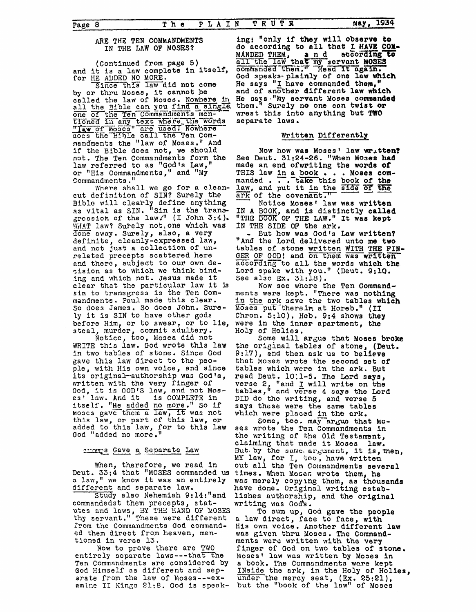#### ARE THE TEN COMMANDMENTS IN THE LAW OF MOSES?

(Continued from page 5) and it is a law complete in itself, for HE ADDED NO MORE.<br>Since this law did not come

by or thru Moses, it cannot be<br>called the law of Moses. Nowhere in all the Bible can you find a single. one of the Ten Commandments men-<br>tioned in any text where the words<br>"Iaw of moses" are used! Nowhere<br>does the Bible call the Ten Com-<br>mandments the "law of Moses." And if the Bible does not, we should not. The Ten Commandments form the law referred to as "God's Law," or "His Commandments," and "My Commandments."

Where shall we go for a clean-<br>cut definition of SIN? Surely the Bible will clearly define anything<br>as vital as SIN. "Sin is the trans-<br>gression of the law/" (I John 3:4). WHAT law? Surely not, one which was Jone away. Surely, also, a very definite, cleanly-expressed law, and not just a collection of un-<br>related precepts scattered here and there, subject to our own decision as to which we think binding and which not. Jesus made it clear that the particular law it is sin to transgress is the Ten Commandments. Paul made this clear. So does James, So does John. Surely it is SIN to have other gods before Him, or to swear, or to lie,

steal, murder, commit adultery.<br>Notice, too, Moses did not WRITE this law. God wrote this law in two tables of stone. Since God gave this law direct to the people, with His own voice, and since its original-authorship was God's, written with the very finger of<br>God, it is GOD'S law, and not Mos-<br>es' law. And it is COMPLETE in<br>itself. "He added no more." So if moses gave them a law, it was not this law, or part of this law, or added to this law, for to this law God "added no more."

#### anours Gave a Separate Law

When, therefore, we read in<br>Deut. 33:4 that "MOSES commanded us a law," we know it was an entirely different and separate law.

Study also Nehemiah 9:14:"and commandedst them precepts, statutes and laws, BY THE HAND OF MOSES thy servant." These were different from the Commandments God commanded them direct from heaven, mentioned in verse 13.

Now to prove there are TWO entirely separate laws---that the Ten Commandments are considered by God Himself as different and separate from the law of Moses---examine II Kings 21:8. God is speak-

ing: "only if they will observe to do according to all that I HAVE COM-MANDED THEM, and according<br>all the law that my servant MOSES commanded them." Read It again. according to God speaks-plainly of one law which He says "I have commanded them," and of another different law which He says "My servant Moses commanded them." Surely no one can twist or wrest this into anything but TWO separate laws.

## Written Differently

Now how was Moses' law written? See Deut. 31:24-26. "When Moses had made an end ofwriting the words of THIS law in a book . . . Moses commanded . . . take this book of the law, and put it in the side of the ark of the covenant."

Notice Moses' law was written IN A BOOK, and is distinctly called "THE BOOK OF THE LAW." It was kept IN THE SIDE OF the ark.

- But how was God's Law written? "And the Lord delivered unto me two tables of stone written WITH THE FIN-<br>GER OF GOD! and on them was written according to all the words which the Lord spake with you." (Deut. 9:10. See also Ex. 31:18).

Now see where the Ten Commandments were kept. "There was nothing in the ark save the two tables which Moses put thereir at Horeb." (II Chron. 5:10). Heb. 9:4 shows they were in the inner apartment, the Holy of Holies.

Some will argue that Moses broke the original tables of stone, (Deut. 9:17), and then ask us to believe that Moses wrote the second set of tables which were in the ark. But read Deut. 10:1-5. The Lord says, verse 2, "and I will write on the<br>tables," and verse 4 says the Lord DID do the writing, and verse 5 says these were the same tables which were placed in the ark.

Some, too. may argue that Mo-<br>ses wrote the Ten Commandments in the writing of the Old Testament, claiming that made it Moses law. But by the same argument, it is, then, MY law, for I, too, have written out all the Ten Commandments several times. When Moses wrote them, he was merely copying them, as thousands<br>have done. Original writing establishes authorship, and the original writing was God's.

To sum up, God gave the people a law direct, face to face, with His own voice. Another different law was given thru Moses. The Commandments were written with the very finger of God on two tables of stone. Moses' law was written by Moses in a book. The Commandments ware kept INside the ark, in the Holy of Holies,<br>under the mercy seat, (Ex. 25:21),<br>but the "book of the law" of Moses